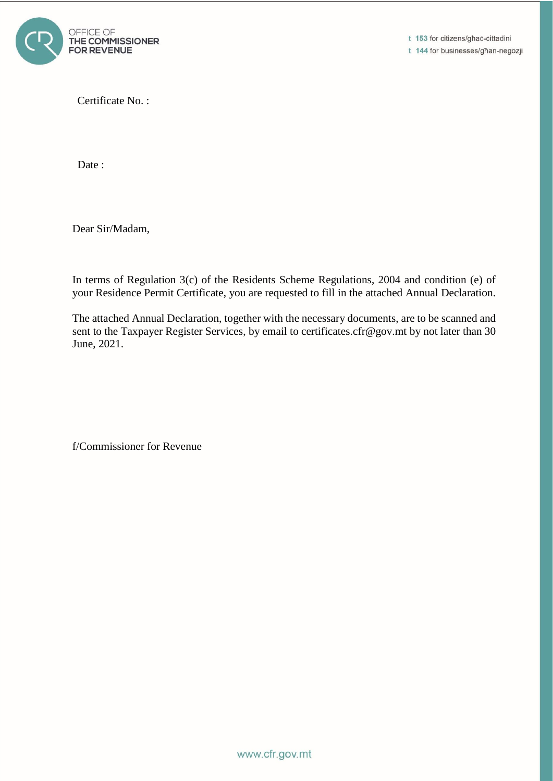

t 153 for citizens/għaċ-cittadini t 144 for businesses/għan-negozji

Certificate No. :

Date:

Dear Sir/Madam,

In terms of Regulation 3(c) of the Residents Scheme Regulations, 2004 and condition (e) of your Residence Permit Certificate, you are requested to fill in the attached Annual Declaration.

The attached Annual Declaration, together with the necessary documents, are to be scanned and sent to the Taxpayer Register Services, by email to certificates.cfr@gov.mt by not later than 30 June, 2021.

f/Commissioner for Revenue